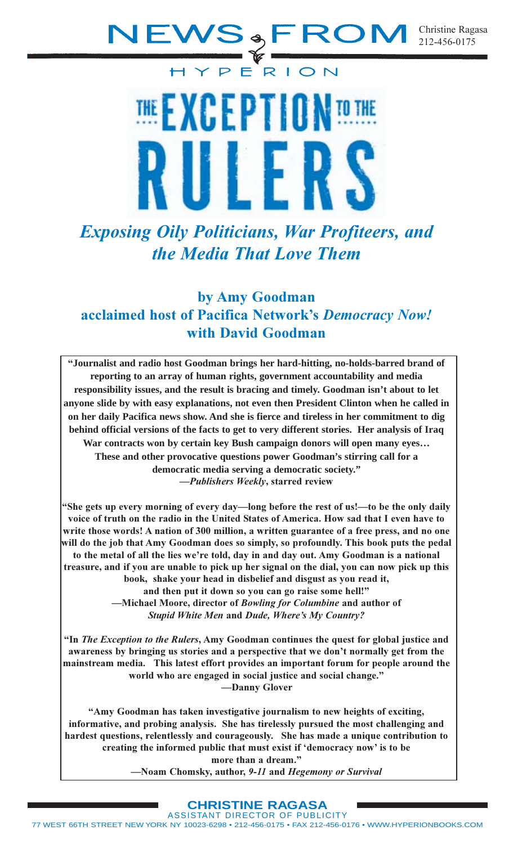## NEW  $5a$

HYPFRION



## **Exposing Oily Politicians, War Profiteers, and** *the Media That Love Them*

by Amy Goodman acclaimed host of Pacifica Network's Democracy Now! with David Goodman

**Journalist and radio host Goodman brings her hard-hitting, no-holds-barred brand of reporting to an array of human rights, government accountability and media responsibility issues, and the result is bracing and timely. Goodman isn't about to let anyone slide by with easy explanations, not even then President Clinton when he called in on her daily Pacifica news show. And she is fierce and tireless in her commitment to dig behind official versions of the facts to get to very different stories. Her analysis of Iraq War contracts won by certain key Bush campaign donors will open many eyes… These and other provocative questions power Goodman's stirring call for a democratic media serving a democratic society."** -Publishers Weekly, starred review

"She gets up every morning of every day—long before the rest of us!—to be the only daily **voice of truth on the radio in the United States of America. How sad that I even have to** write those words! A nation of 300 million, a written guarantee of a free press, and no one will do the job that Amy Goodman does so simply, so profoundly. This book puts the pedal to the metal of all the lies we're told, day in and day out. Amy Goodman is a national freasure, and if you are unable to pick up her signal on the dial, you can now pick up this book, shake your head in disbelief and disgust as you read it, and then put it down so you can go raise some hell!" -Michael Moore, director of *Bowling for Columbine* and author of **Stupid White Men and Dude, Where's My Country?** 

"In The Exception to the Rulers, Amy Goodman continues the quest for global justice and awareness by bringing us stories and a perspective that we don't normally get from the mainstream media. This latest effort provides an important forum for people around the world who are engaged in social justice and social change."  $\qquad$  -Danny Glover

"Amy Goodman has taken investigative journalism to new heights of exciting, informative, and probing analysis. She has tirelessly pursued the most challenging and hardest questions, relentlessly and courageously. She has made a unique contribution to creating the informed public that must exist if 'democracy now' is to be more than a dream."

-Noam Chomsky, author, 9-11 and Hegemony or Survival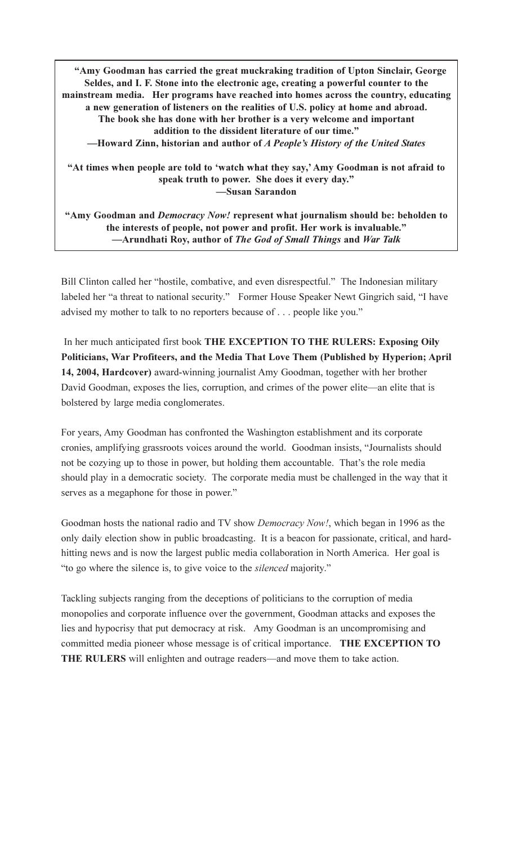"Amy Goodman has carried the great muckraking tradition of Upton Sinclair, George Seldes, and I. F. Stone into the electronic age, creating a powerful counter to the mainstream media. Her programs have reached into homes across the country, educating a new generation of listeners on the realities of U.S. policy at home and abroad. The book she has done with her brother is a very welcome and important addition to the dissident literature of our time." -Howard Zinn, historian and author of A People's History of the United States

"At times when people are told to 'watch what they say,' Amy Goodman is not afraid to speak truth to power. She does it every day." -Susan Sarandon

"Amy Goodman and Democracy Now! represent what journalism should be: beholden to the interests of people, not power and profit. Her work is invaluable." -Arundhati Roy, author of The God of Small Things and War Talk

Bill Clinton called her "hostile, combative, and even disrespectful." The Indonesian military labeled her "a threat to national security." Former House Speaker Newt Gingrich said, "I have advised my mother to talk to no reporters because of . . . people like you."

In her much anticipated first book THE EXCEPTION TO THE RULERS: Exposing Oily Politicians, War Profiteers, and the Media That Love Them (Published by Hyperion; April 14, 2004, Hardcover) award-winning journalist Amy Goodman, together with her brother David Goodman, exposes the lies, corruption, and crimes of the power elite—an elite that is bolstered by large media conglomerates.

For years, Amy Goodman has confronted the Washington establishment and its corporate cronies, amplifying grassroots voices around the world. Goodman insists, "Journalists should not be cozying up to those in power, but holding them accountable. That's the role media should play in a democratic society. The corporate media must be challenged in the way that it serves as a megaphone for those in power."

Goodman hosts the national radio and TV show *Democracy Now!*, which began in 1996 as the only daily election show in public broadcasting. It is a beacon for passionate, critical, and hardhitting news and is now the largest public media collaboration in North America. Her goal is "to go where the silence is, to give voice to the *silenced* majority."

Tackling subjects ranging from the deceptions of politicians to the corruption of media monopolies and corporate influence over the government, Goodman attacks and exposes the lies and hypocrisy that put democracy at risk. Amy Goodman is an uncompromising and committed media pioneer whose message is of critical importance. THE EXCEPTION TO THE RULERS will enlighten and outrage readers—and move them to take action.